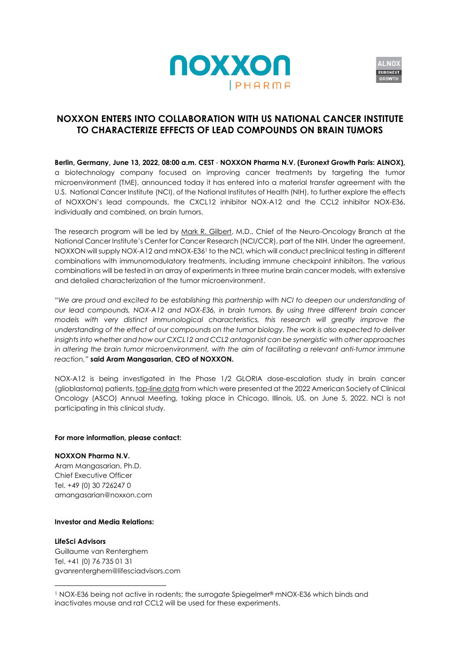



# **NOXXON ENTERS INTO COLLABORATION WITH US NATIONAL CANCER INSTITUTE TO CHARACTERIZE EFFECTS OF LEAD COMPOUNDS ON BRAIN TUMORS**

**Berlin, Germany, June 13, 2022, 08:00 a.m. CEST** - **NOXXON Pharma N.V. (Euronext Growth Paris: ALNOX),**  a biotechnology company focused on improving cancer treatments by targeting the tumor microenvironment (TME), announced today it has entered into a material transfer agreement with the U.S. National Cancer Institute (NCI), of the National Institutes of Health (NIH), to further explore the effects of NOXXON's lead compounds, the CXCL12 inhibitor NOX-A12 and the CCL2 inhibitor NOX-E36, individually and combined, on brain tumors.

The research program will be led by [Mark R. Gilbert,](https://ccr.cancer.gov/staff-directory/mark-r-gilbert#staff-profile-biography-tab-3) M.D., Chief of the Neuro-Oncology Branch at the National Cancer Institute's Center for Cancer Research (NCI/CCR), part of the NIH. Under the agreement, NOXXON will supply NOX-A12 and mNOX-E36<sup>1</sup> to the NCI, which will conduct preclinical testing in different combinations with immunomodulatory treatments, including immune checkpoint inhibitors. The various combinations will be tested in an array of experiments in three murine brain cancer models, with extensive and detailed characterization of the tumor microenvironment.

*"We are proud and excited to be establishing this partnership with NCI to deepen our understanding of our lead compounds, NOX-A12 and NOX-E36, in brain tumors. By using three different brain cancer models with very distinct immunological characteristics, this research will greatly improve the understanding of the effect of our compounds on the tumor biology. The work is also expected to deliver insights into whether and how our CXCL12 and CCL2 antagonist can be synergistic with other approaches in altering the brain tumor microenvironment, with the aim of facilitating a relevant anti-tumor immune reaction,"* **said Aram Mangasarian, CEO of NOXXON.**

NOX-A12 is being investigated in the Phase 1/2 GLORIA dose-escalation study in brain cancer (glioblastoma) patients[, top-line data](https://www.noxxon.com/downloads/pressrel/2022-06-05_PR_ASCO_Presentation_EN.pdf) from which were presented at the 2022 American Society of Clinical Oncology (ASCO) Annual Meeting, taking place in Chicago, Illinois, US, on June 5, 2022. NCI is not participating in this clinical study.

### **For more information, please contact:**

### **NOXXON Pharma N.V.**

Aram Mangasarian, Ph.D. Chief Executive Officer Tel. +49 (0) 30 726247 0 amangasarian@noxxon.com

## **Investor and Media Relations:**

#### **LifeSci Advisors**

Guillaume van Renterghem Tel. +41 (0) 76 735 01 31 [gvanrenterghem@lifesciadvisors.com](mailto:gvanrenterghem@lifesciadvisors.com)

<sup>1</sup> NOX-E36 being not active in rodents; the surrogate Spiegelmer® mNOX-E36 which binds and inactivates mouse and rat CCL2 will be used for these experiments.